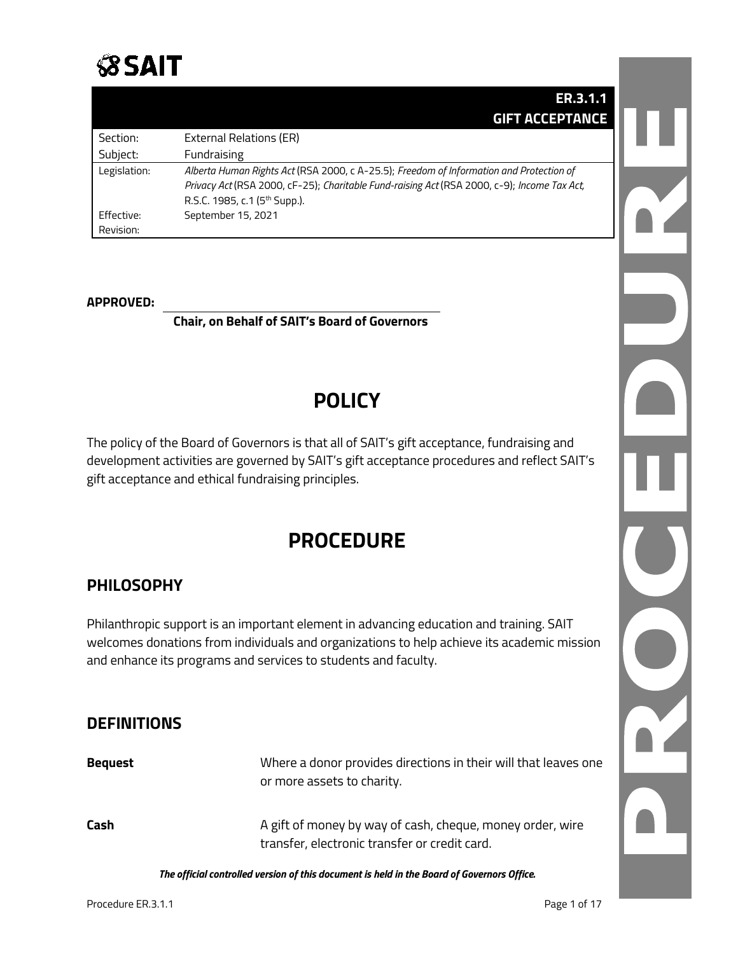

|              | ER.3.1.1                                                                                    |
|--------------|---------------------------------------------------------------------------------------------|
|              | <b>GIFT ACCEPTANCE</b>                                                                      |
| Section:     | External Relations (ER)                                                                     |
| Subject:     | Fundraising                                                                                 |
| Legislation: | Alberta Human Rights Act (RSA 2000, c A-25.5); Freedom of Information and Protection of     |
|              | Privacy Act (RSA 2000, cF-25); Charitable Fund-raising Act (RSA 2000, c-9); Income Tax Act, |
|              | R.S.C. 1985, c.1 (5 <sup>th</sup> Supp.).                                                   |
| Effective:   | September 15, 2021                                                                          |
| Revision:    |                                                                                             |

#### **APPROVED:**

**Chair, on Behalf of SAIT's Board of Governors**

## **POLICY**

The policy of the Board of Governors is that all of SAIT's gift acceptance, fundraising and development activities are governed by SAIT's gift acceptance procedures and reflect SAIT's gift acceptance and ethical fundraising principles.

## **PROCEDURE**

### **PHILOSOPHY**

Philanthropic support is an important element in advancing education and training. SAIT welcomes donations from individuals and organizations to help achieve its academic mission and enhance its programs and services to students and faculty.

### **DEFINITIONS**

| <b>Bequest</b> | Where a donor provides directions in their will that leaves one<br>or more assets to charity.              |
|----------------|------------------------------------------------------------------------------------------------------------|
| Cash           | A gift of money by way of cash, cheque, money order, wire<br>transfer, electronic transfer or credit card. |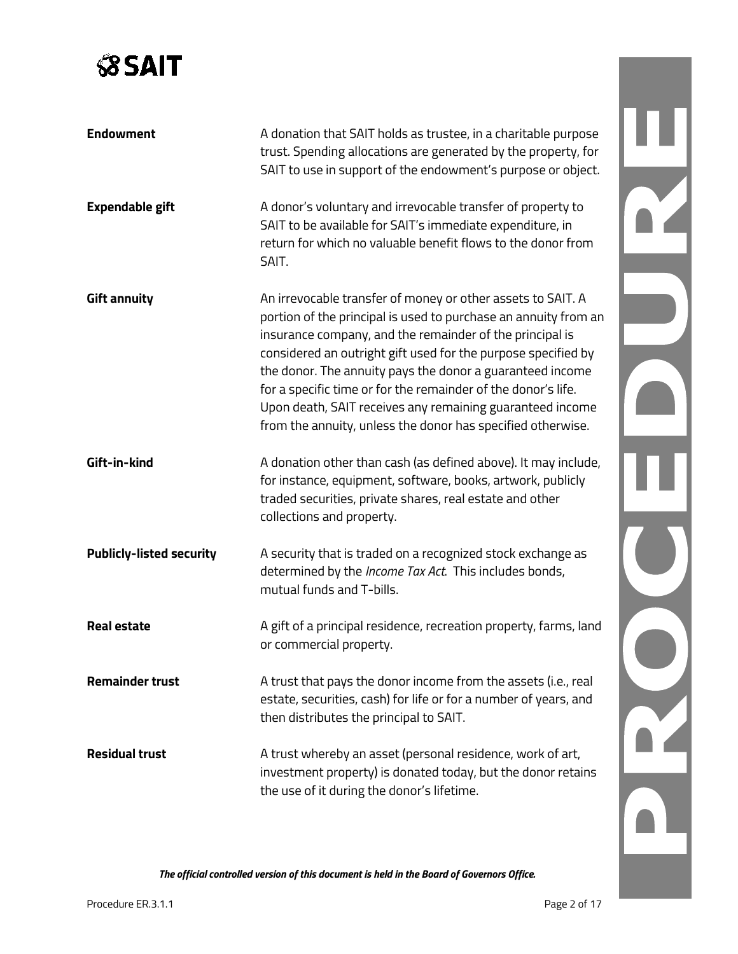# **SSAIT**

| <b>Endowment</b><br><b>Expendable gift</b> | A donation that SAIT holds as trustee, in a charitable purpose<br>trust. Spending allocations are generated by the property, for<br>SAIT to use in support of the endowment's purpose or object.<br>A donor's voluntary and irrevocable transfer of property to<br>SAIT to be available for SAIT's immediate expenditure, in                                                                                                                                                                                          |
|--------------------------------------------|-----------------------------------------------------------------------------------------------------------------------------------------------------------------------------------------------------------------------------------------------------------------------------------------------------------------------------------------------------------------------------------------------------------------------------------------------------------------------------------------------------------------------|
|                                            | return for which no valuable benefit flows to the donor from<br>SAIT.                                                                                                                                                                                                                                                                                                                                                                                                                                                 |
| <b>Gift annuity</b>                        | An irrevocable transfer of money or other assets to SAIT. A<br>portion of the principal is used to purchase an annuity from an<br>insurance company, and the remainder of the principal is<br>considered an outright gift used for the purpose specified by<br>the donor. The annuity pays the donor a guaranteed income<br>for a specific time or for the remainder of the donor's life.<br>Upon death, SAIT receives any remaining guaranteed income<br>from the annuity, unless the donor has specified otherwise. |
| Gift-in-kind                               | A donation other than cash (as defined above). It may include,<br>for instance, equipment, software, books, artwork, publicly<br>traded securities, private shares, real estate and other<br>collections and property.                                                                                                                                                                                                                                                                                                |
| <b>Publicly-listed security</b>            | A security that is traded on a recognized stock exchange as<br>determined by the Income Tax Act. This includes bonds,<br>mutual funds and T-bills.                                                                                                                                                                                                                                                                                                                                                                    |
| <b>Real estate</b>                         | A gift of a principal residence, recreation property, farms, land<br>or commercial property.                                                                                                                                                                                                                                                                                                                                                                                                                          |
| <b>Remainder trust</b>                     | A trust that pays the donor income from the assets (i.e., real<br>estate, securities, cash) for life or for a number of years, and<br>then distributes the principal to SAIT.                                                                                                                                                                                                                                                                                                                                         |
| <b>Residual trust</b>                      | A trust whereby an asset (personal residence, work of art,<br>investment property) is donated today, but the donor retains<br>the use of it during the donor's lifetime.                                                                                                                                                                                                                                                                                                                                              |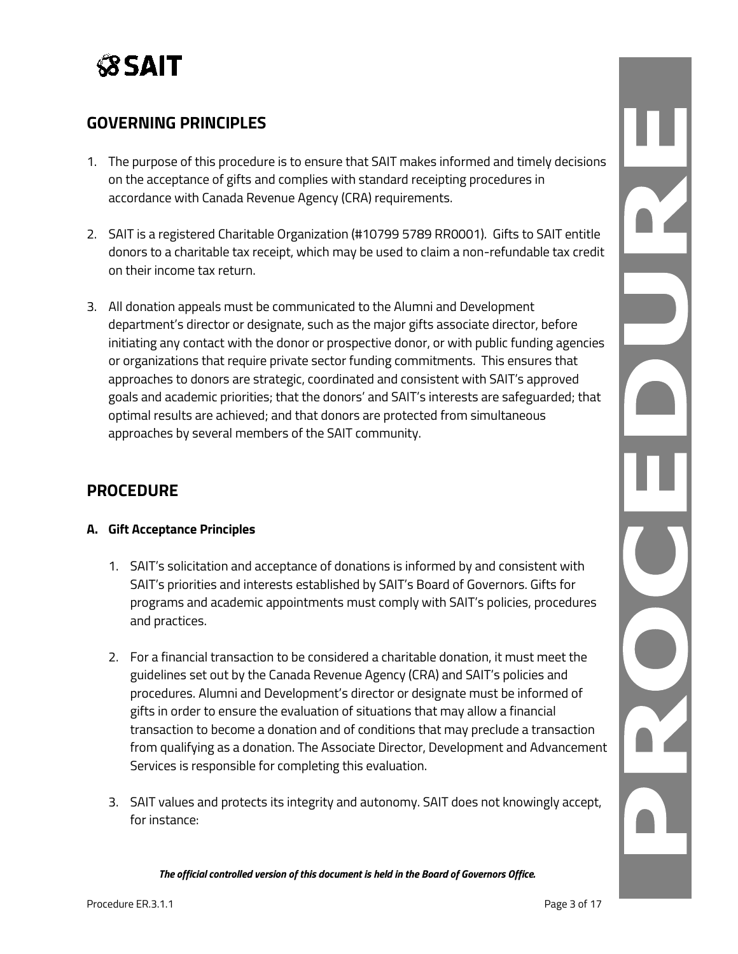# **SSAIT**

## **GOVERNING PRINCIPLES**

- 1. The purpose of this procedure is to ensure that SAIT makes informed and timely decisions on the acceptance of gifts and complies with standard receipting procedures in accordance with Canada Revenue Agency (CRA) requirements.
- 2. SAIT is a registered Charitable Organization (#10799 5789 RR0001). Gifts to SAIT entitle donors to a charitable tax receipt, which may be used to claim a non-refundable tax credit on their income tax return.
- 3. All donation appeals must be communicated to the Alumni and Development department's director or designate, such as the major gifts associate director, before initiating any contact with the donor or prospective donor, or with public funding agencies or organizations that require private sector funding commitments. This ensures that approaches to donors are strategic, coordinated and consistent with SAIT's approved goals and academic priorities; that the donors' and SAIT's interests are safeguarded; that optimal results are achieved; and that donors are protected from simultaneous approaches by several members of the SAIT community.

## **PROCEDURE**

### **A. Gift Acceptance Principles**

- 1. SAIT's solicitation and acceptance of donations is informed by and consistent with SAIT's priorities and interests established by SAIT's Board of Governors. Gifts for programs and academic appointments must comply with SAIT's policies, procedures and practices.
- 2. For a financial transaction to be considered a charitable donation, it must meet the guidelines set out by the Canada Revenue Agency (CRA) and SAIT's policies and procedures. Alumni and Development's director or designate must be informed of gifts in order to ensure the evaluation of situations that may allow a financial transaction to become a donation and of conditions that may preclude a transaction from qualifying as a donation. The Associate Director, Development and Advancement Services is responsible for completing this evaluation.
- 3. SAIT values and protects its integrity and autonomy. SAIT does not knowingly accept, for instance: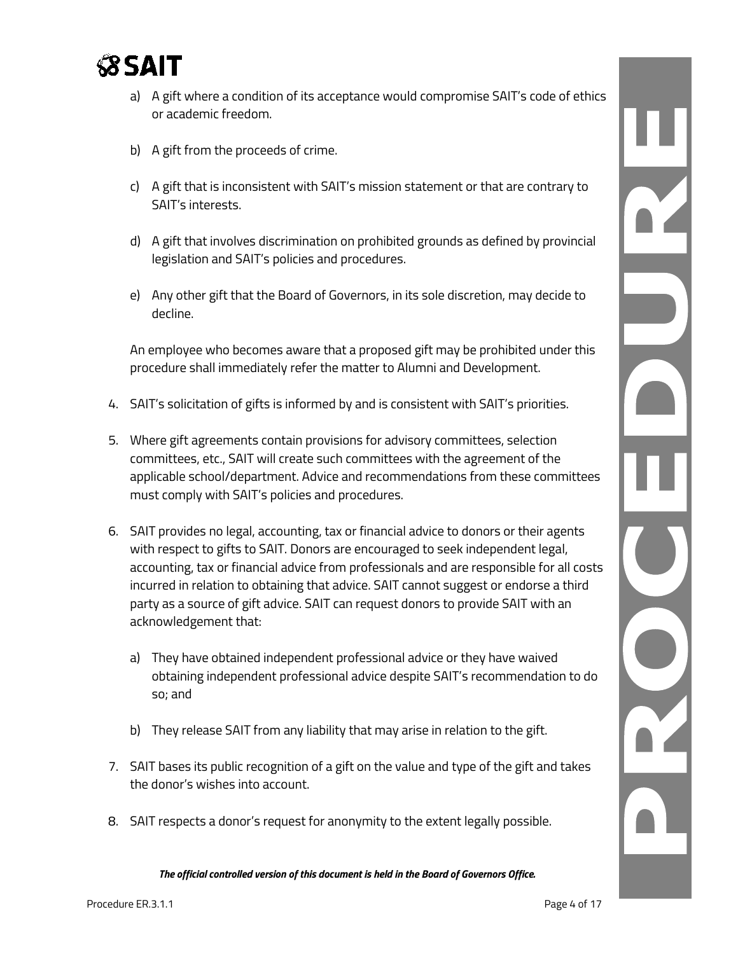

- a) A gift where a condition of its acceptance would compromise SAIT's code of ethics or academic freedom.
- b) A gift from the proceeds of crime.
- c) A gift that is inconsistent with SAIT's mission statement or that are contrary to SAIT's interests.
- d) A gift that involves discrimination on prohibited grounds as defined by provincial legislation and SAIT's policies and procedures.
- e) Any other gift that the Board of Governors, in its sole discretion, may decide to decline.

An employee who becomes aware that a proposed gift may be prohibited under this procedure shall immediately refer the matter to Alumni and Development.

- 4. SAIT's solicitation of gifts is informed by and is consistent with SAIT's priorities.
- 5. Where gift agreements contain provisions for advisory committees, selection committees, etc., SAIT will create such committees with the agreement of the applicable school/department. Advice and recommendations from these committees must comply with SAIT's policies and procedures.
- 6. SAIT provides no legal, accounting, tax or financial advice to donors or their agents with respect to gifts to SAIT. Donors are encouraged to seek independent legal, accounting, tax or financial advice from professionals and are responsible for all costs incurred in relation to obtaining that advice. SAIT cannot suggest or endorse a third party as a source of gift advice. SAIT can request donors to provide SAIT with an acknowledgement that:
	- a) They have obtained independent professional advice or they have waived obtaining independent professional advice despite SAIT's recommendation to do so; and
	- b) They release SAIT from any liability that may arise in relation to the gift.
- 7. SAIT bases its public recognition of a gift on the value and type of the gift and takes the donor's wishes into account.
- 8. SAIT respects a donor's request for anonymity to the extent legally possible.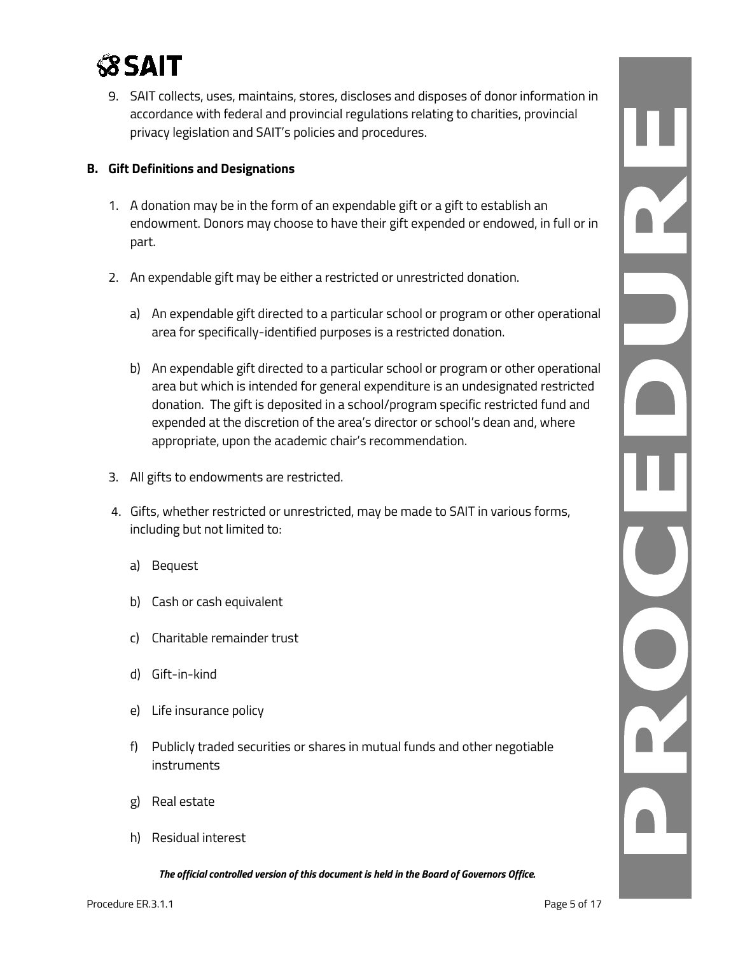

9. SAIT collects, uses, maintains, stores, discloses and disposes of donor information in accordance with federal and provincial regulations relating to charities, provincial privacy legislation and SAIT's policies and procedures.

#### **B. Gift Definitions and Designations**

- 1. A donation may be in the form of an expendable gift or a gift to establish an endowment. Donors may choose to have their gift expended or endowed, in full or in part.
- 2. An expendable gift may be either a restricted or unrestricted donation.
	- a) An expendable gift directed to a particular school or program or other operational area for specifically-identified purposes is a restricted donation.
	- b) An expendable gift directed to a particular school or program or other operational area but which is intended for general expenditure is an undesignated restricted donation. The gift is deposited in a school/program specific restricted fund and expended at the discretion of the area's director or school's dean and, where appropriate, upon the academic chair's recommendation.
- 3. All gifts to endowments are restricted.
- 4. Gifts, whether restricted or unrestricted, may be made to SAIT in various forms, including but not limited to:
	- a) Bequest
	- b) Cash or cash equivalent
	- c) Charitable remainder trust
	- d) Gift-in-kind
	- e) Life insurance policy
	- f) Publicly traded securities or shares in mutual funds and other negotiable instruments
	- g) Real estate
	- h) Residual interest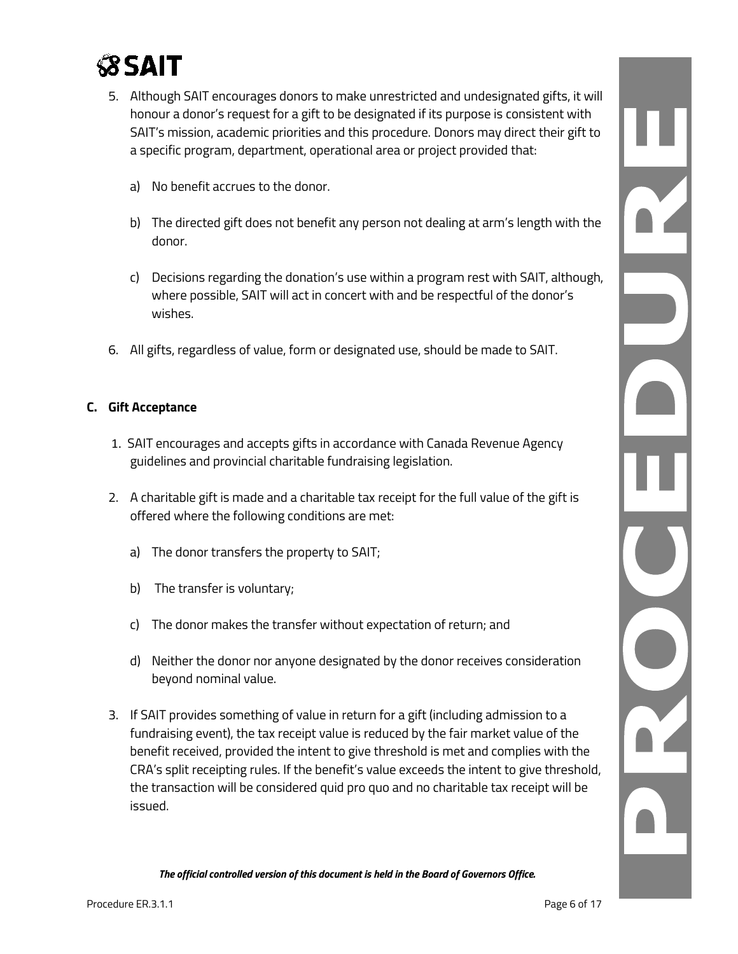

- 5. Although SAIT encourages donors to make unrestricted and undesignated gifts, it will honour a donor's request for a gift to be designated if its purpose is consistent with SAIT's mission, academic priorities and this procedure. Donors may direct their gift to a specific program, department, operational area or project provided that:
	- a) No benefit accrues to the donor.
	- b) The directed gift does not benefit any person not dealing at arm's length with the donor.
	- c) Decisions regarding the donation's use within a program rest with SAIT, although, where possible, SAIT will act in concert with and be respectful of the donor's wishes.
- 6. All gifts, regardless of value, form or designated use, should be made to SAIT.

#### **C. Gift Acceptance**

- 1. SAIT encourages and accepts gifts in accordance with Canada Revenue Agency guidelines and provincial charitable fundraising legislation.
- 2. A charitable gift is made and a charitable tax receipt for the full value of the gift is offered where the following conditions are met:
	- a) The donor transfers the property to SAIT;
	- b) The transfer is voluntary;
	- c) The donor makes the transfer without expectation of return; and
	- d) Neither the donor nor anyone designated by the donor receives consideration beyond nominal value.
- 3. If SAIT provides something of value in return for a gift (including admission to a fundraising event), the tax receipt value is reduced by the fair market value of the benefit received, provided the intent to give threshold is met and complies with the CRA's split receipting rules. If the benefit's value exceeds the intent to give threshold, the transaction will be considered quid pro quo and no charitable tax receipt will be issued.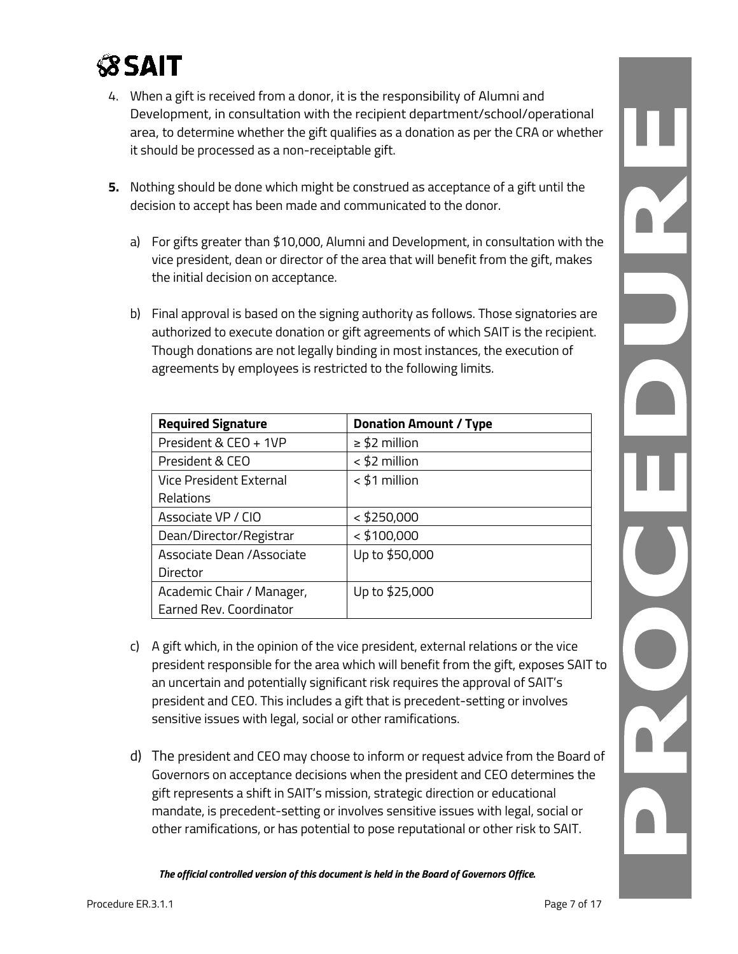

- 4. When a gift is received from a donor, it is the responsibility of Alumni and Development, in consultation with the recipient department/school/operational area, to determine whether the gift qualifies as a donation as per the CRA or whether it should be processed as a non-receiptable gift.
- **5.** Nothing should be done which might be construed as acceptance of a gift until the decision to accept has been made and communicated to the donor.
	- a) For gifts greater than \$10,000, Alumni and Development, in consultation with the vice president, dean or director of the area that will benefit from the gift, makes the initial decision on acceptance.
	- b) Final approval is based on the signing authority as follows. Those signatories are authorized to execute donation or gift agreements of which SAIT is the recipient. Though donations are not legally binding in most instances, the execution of agreements by employees is restricted to the following limits.

| <b>Required Signature</b> | <b>Donation Amount / Type</b> |
|---------------------------|-------------------------------|
| President & CEO + 1VP     | $\geq$ \$2 million            |
| President & CEO           | $<$ \$2 million               |
| Vice President External   | $<$ \$1 million               |
| Relations                 |                               |
| Associate VP / CIO        | $<$ \$250,000                 |
| Dean/Director/Registrar   | $<$ \$100,000                 |
| Associate Dean /Associate | Up to \$50,000                |
| Director                  |                               |
| Academic Chair / Manager, | Up to \$25,000                |
| Earned Rev. Coordinator   |                               |

- c) A gift which, in the opinion of the vice president, external relations or the vice president responsible for the area which will benefit from the gift, exposes SAIT to an uncertain and potentially significant risk requires the approval of SAIT's president and CEO. This includes a gift that is precedent-setting or involves sensitive issues with legal, social or other ramifications.
- d) The president and CEO may choose to inform or request advice from the Board of Governors on acceptance decisions when the president and CEO determines the gift represents a shift in SAIT's mission, strategic direction or educational mandate, is precedent-setting or involves sensitive issues with legal, social or other ramifications, or has potential to pose reputational or other risk to SAIT.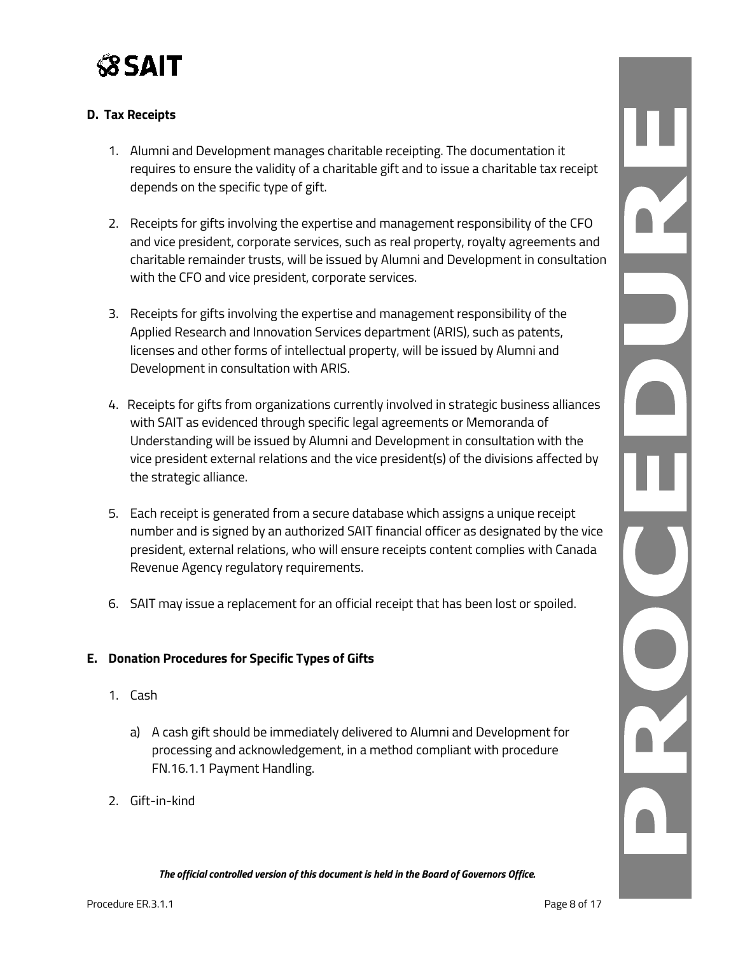

#### **D. Tax Receipts**

- 1. Alumni and Development manages charitable receipting. The documentation it requires to ensure the validity of a charitable gift and to issue a charitable tax receipt depends on the specific type of gift.
- 2. Receipts for gifts involving the expertise and management responsibility of the CFO and vice president, corporate services, such as real property, royalty agreements and charitable remainder trusts, will be issued by Alumni and Development in consultation with the CFO and vice president, corporate services.
- 3. Receipts for gifts involving the expertise and management responsibility of the Applied Research and Innovation Services department (ARIS), such as patents, licenses and other forms of intellectual property, will be issued by Alumni and Development in consultation with ARIS.
- 4. Receipts for gifts from organizations currently involved in strategic business alliances with SAIT as evidenced through specific legal agreements or Memoranda of Understanding will be issued by Alumni and Development in consultation with the vice president external relations and the vice president(s) of the divisions affected by the strategic alliance.
- 5. Each receipt is generated from a secure database which assigns a unique receipt number and is signed by an authorized SAIT financial officer as designated by the vice president, external relations, who will ensure receipts content complies with Canada Revenue Agency regulatory requirements.
- 6. SAIT may issue a replacement for an official receipt that has been lost or spoiled.

#### **E. Donation Procedures for Specific Types of Gifts**

- 1. Cash
	- a) A cash gift should be immediately delivered to Alumni and Development for processing and acknowledgement, in a method compliant with procedure FN.16.1.1 Payment Handling.
- 2. Gift-in-kind

R C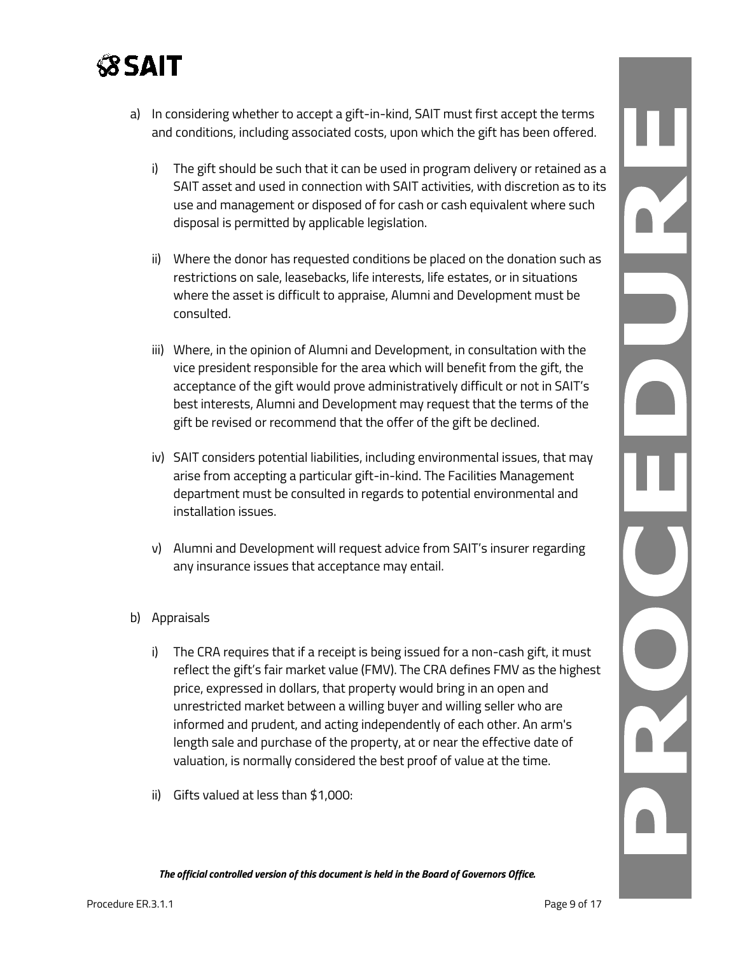

- a) In considering whether to accept a gift-in-kind, SAIT must first accept the terms and conditions, including associated costs, upon which the gift has been offered.
	- i) The gift should be such that it can be used in program delivery or retained as a SAIT asset and used in connection with SAIT activities, with discretion as to its use and management or disposed of for cash or cash equivalent where such disposal is permitted by applicable legislation.
	- ii) Where the donor has requested conditions be placed on the donation such as restrictions on sale, leasebacks, life interests, life estates, or in situations where the asset is difficult to appraise, Alumni and Development must be consulted.
	- iii) Where, in the opinion of Alumni and Development, in consultation with the vice president responsible for the area which will benefit from the gift, the acceptance of the gift would prove administratively difficult or not in SAIT's best interests, Alumni and Development may request that the terms of the gift be revised or recommend that the offer of the gift be declined.
	- iv) SAIT considers potential liabilities, including environmental issues, that may arise from accepting a particular gift-in-kind. The Facilities Management department must be consulted in regards to potential environmental and installation issues.
	- v) Alumni and Development will request advice from SAIT's insurer regarding any insurance issues that acceptance may entail.
- b) Appraisals
	- i) The CRA requires that if a receipt is being issued for a non-cash gift, it must reflect the gift's fair market value (FMV). The CRA defines FMV as the highest price, expressed in dollars, that property would bring in an open and unrestricted market between a willing buyer and willing seller who are informed and prudent, and acting independently of each other. An arm's length sale and purchase of the property, at or near the effective date of valuation, is normally considered the best proof of value at the time.
	- ii) Gifts valued at less than \$1,000: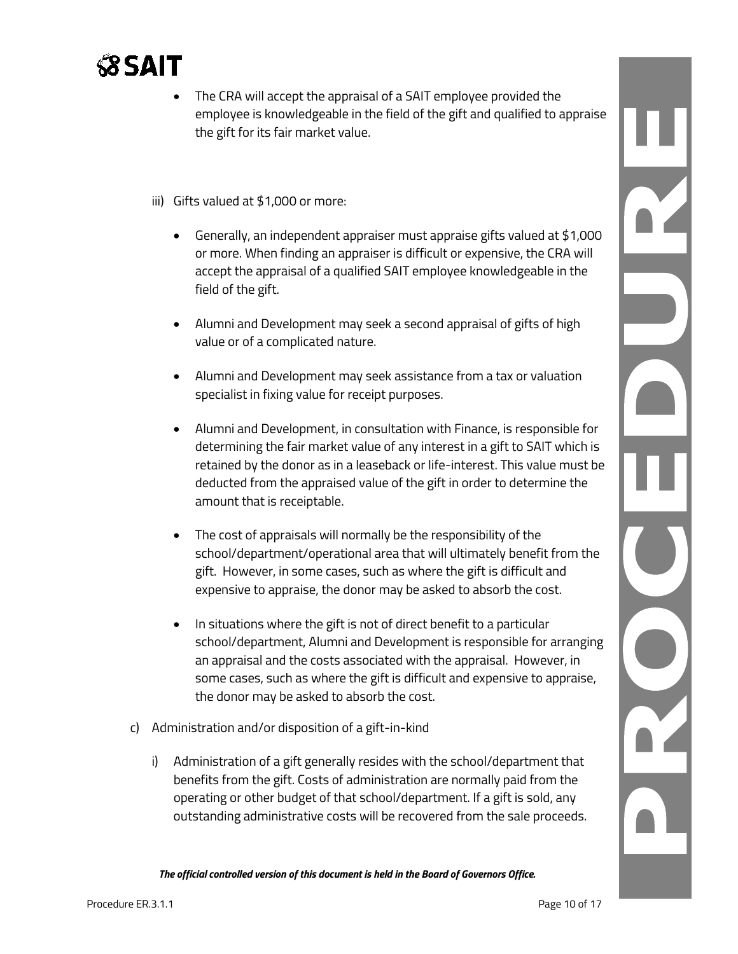

- The CRA will accept the appraisal of a SAIT employee provided the employee is knowledgeable in the field of the gift and qualified to appraise the gift for its fair market value.
- iii) Gifts valued at \$1,000 or more:
	- Generally, an independent appraiser must appraise gifts valued at \$1,000 or more. When finding an appraiser is difficult or expensive, the CRA will accept the appraisal of a qualified SAIT employee knowledgeable in the field of the gift.
	- Alumni and Development may seek a second appraisal of gifts of high value or of a complicated nature.
	- Alumni and Development may seek assistance from a tax or valuation specialist in fixing value for receipt purposes.
	- Alumni and Development, in consultation with Finance, is responsible for determining the fair market value of any interest in a gift to SAIT which is retained by the donor as in a leaseback or life-interest. This value must be deducted from the appraised value of the gift in order to determine the amount that is receiptable.
	- The cost of appraisals will normally be the responsibility of the school/department/operational area that will ultimately benefit from the gift. However, in some cases, such as where the gift is difficult and expensive to appraise, the donor may be asked to absorb the cost.
	- In situations where the gift is not of direct benefit to a particular school/department, Alumni and Development is responsible for arranging an appraisal and the costs associated with the appraisal. However, in some cases, such as where the gift is difficult and expensive to appraise, the donor may be asked to absorb the cost.
- c) Administration and/or disposition of a gift-in-kind
	- i) Administration of a gift generally resides with the school/department that benefits from the gift. Costs of administration are normally paid from the operating or other budget of that school/department. If a gift is sold, any outstanding administrative costs will be recovered from the sale proceeds.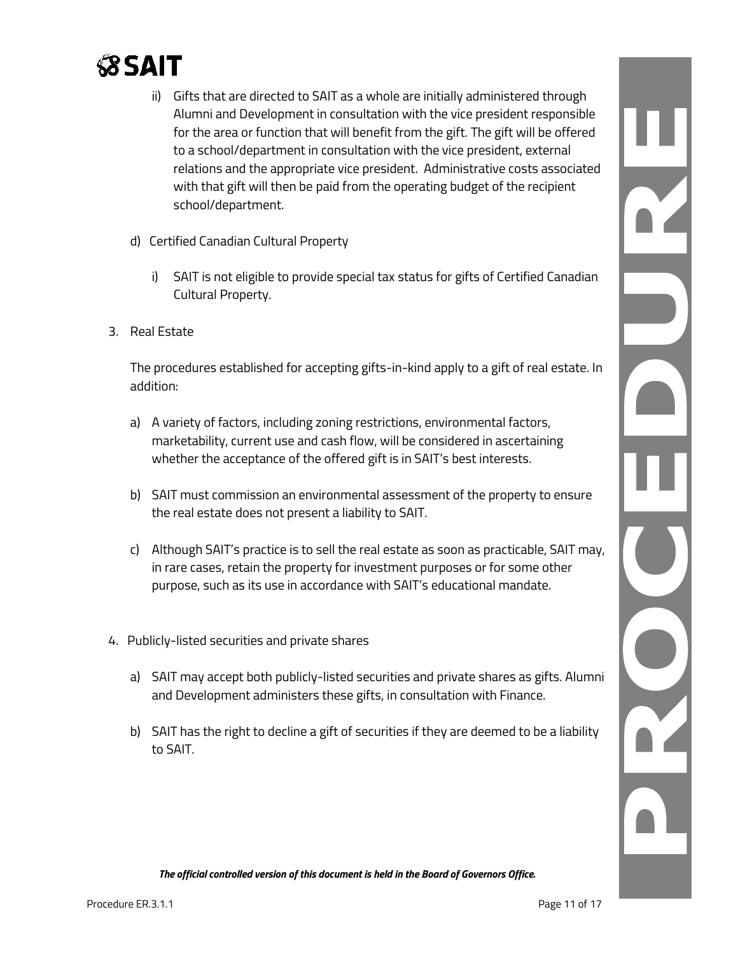

- ii) Gifts that are directed to SAIT as a whole are initially administered through Alumni and Development in consultation with the vice president responsible for the area or function that will benefit from the gift. The gift will be offered to a school/department in consultation with the vice president, external relations and the appropriate vice president. Administrative costs associated with that gift will then be paid from the operating budget of the recipient school/department.
- d) Certified Canadian Cultural Property
	- i) SAIT is not eligible to provide special tax status for gifts of Certified Canadian Cultural Property.
- 3. Real Estate

The procedures established for accepting gifts-in-kind apply to a gift of real estate. In addition:

- a) A variety of factors, including zoning restrictions, environmental factors, marketability, current use and cash flow, will be considered in ascertaining whether the acceptance of the offered gift is in SAIT's best interests.
- b) SAIT must commission an environmental assessment of the property to ensure the real estate does not present a liability to SAIT.
- c) Although SAIT's practice is to sell the real estate as soon as practicable, SAIT may, in rare cases, retain the property for investment purposes or for some other purpose, such as its use in accordance with SAIT's educational mandate.
- 4. Publicly-listed securities and private shares
	- a) SAIT may accept both publicly-listed securities and private shares as gifts. Alumni and Development administers these gifts, in consultation with Finance.
	- b) SAIT has the right to decline a gift of securities if they are deemed to be a liability to SAIT.

Ľ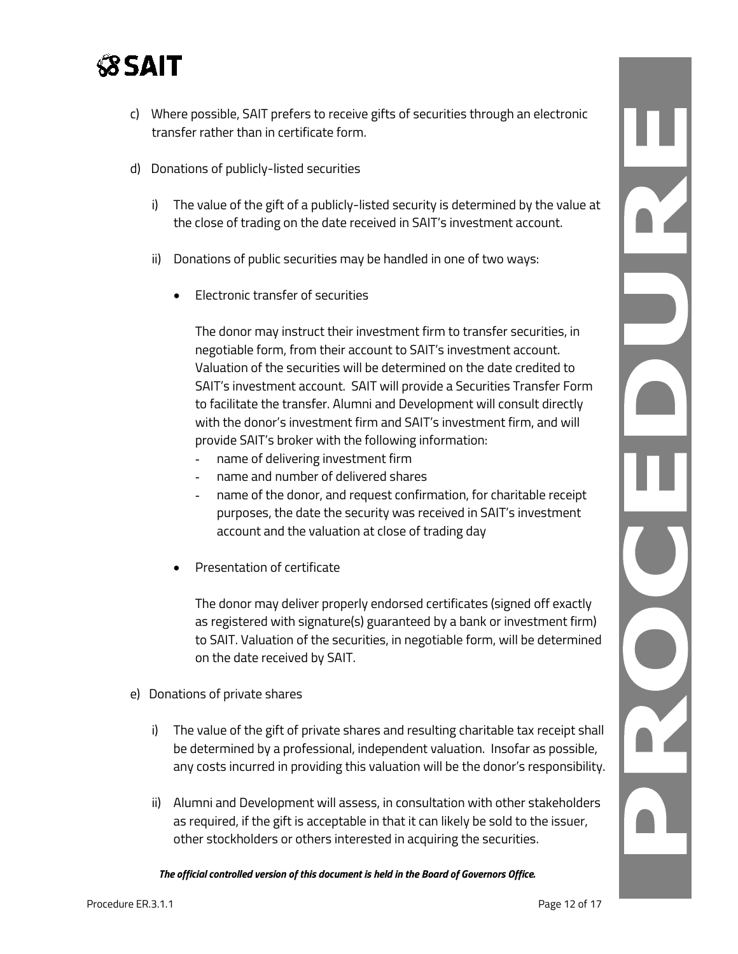

- c) Where possible, SAIT prefers to receive gifts of securities through an electronic transfer rather than in certificate form.
- d) Donations of publicly-listed securities
	- i) The value of the gift of a publicly-listed security is determined by the value at the close of trading on the date received in SAIT's investment account.
	- ii) Donations of public securities may be handled in one of two ways:
		- Electronic transfer of securities

The donor may instruct their investment firm to transfer securities, in negotiable form, from their account to SAIT's investment account. Valuation of the securities will be determined on the date credited to SAIT's investment account. SAIT will provide a Securities Transfer Form to facilitate the transfer. Alumni and Development will consult directly with the donor's investment firm and SAIT's investment firm, and will provide SAIT's broker with the following information:

- name of delivering investment firm
- name and number of delivered shares
- name of the donor, and request confirmation, for charitable receipt purposes, the date the security was received in SAIT's investment account and the valuation at close of trading day
- Presentation of certificate

The donor may deliver properly endorsed certificates (signed off exactly as registered with signature(s) guaranteed by a bank or investment firm) to SAIT. Valuation of the securities, in negotiable form, will be determined on the date received by SAIT.

- e) Donations of private shares
	- i) The value of the gift of private shares and resulting charitable tax receipt shall be determined by a professional, independent valuation. Insofar as possible, any costs incurred in providing this valuation will be the donor's responsibility.
	- ii) Alumni and Development will assess, in consultation with other stakeholders as required, if the gift is acceptable in that it can likely be sold to the issuer, other stockholders or others interested in acquiring the securities.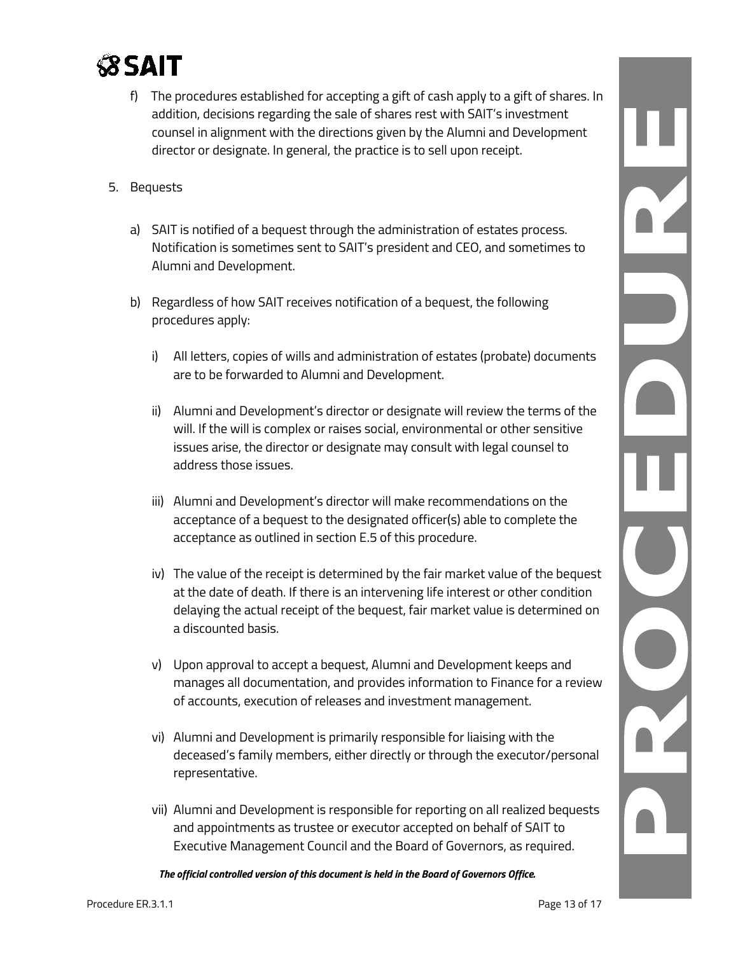

- f) The procedures established for accepting a gift of cash apply to a gift of shares. In addition, decisions regarding the sale of shares rest with SAIT's investment counsel in alignment with the directions given by the Alumni and Development director or designate. In general, the practice is to sell upon receipt.
- 5. Bequests
	- a) SAIT is notified of a bequest through the administration of estates process. Notification is sometimes sent to SAIT's president and CEO, and sometimes to Alumni and Development.
	- b) Regardless of how SAIT receives notification of a bequest, the following procedures apply:
		- i) All letters, copies of wills and administration of estates (probate) documents are to be forwarded to Alumni and Development.
		- ii) Alumni and Development's director or designate will review the terms of the will. If the will is complex or raises social, environmental or other sensitive issues arise, the director or designate may consult with legal counsel to address those issues.
		- iii) Alumni and Development's director will make recommendations on the acceptance of a bequest to the designated officer(s) able to complete the acceptance as outlined in section E.5 of this procedure.
		- iv) The value of the receipt is determined by the fair market value of the bequest at the date of death. If there is an intervening life interest or other condition delaying the actual receipt of the bequest, fair market value is determined on a discounted basis.
		- v) Upon approval to accept a bequest, Alumni and Development keeps and manages all documentation, and provides information to Finance for a review of accounts, execution of releases and investment management.
		- vi) Alumni and Development is primarily responsible for liaising with the deceased's family members, either directly or through the executor/personal representative.
		- vii) Alumni and Development is responsible for reporting on all realized bequests and appointments as trustee or executor accepted on behalf of SAIT to Executive Management Council and the Board of Governors, as required.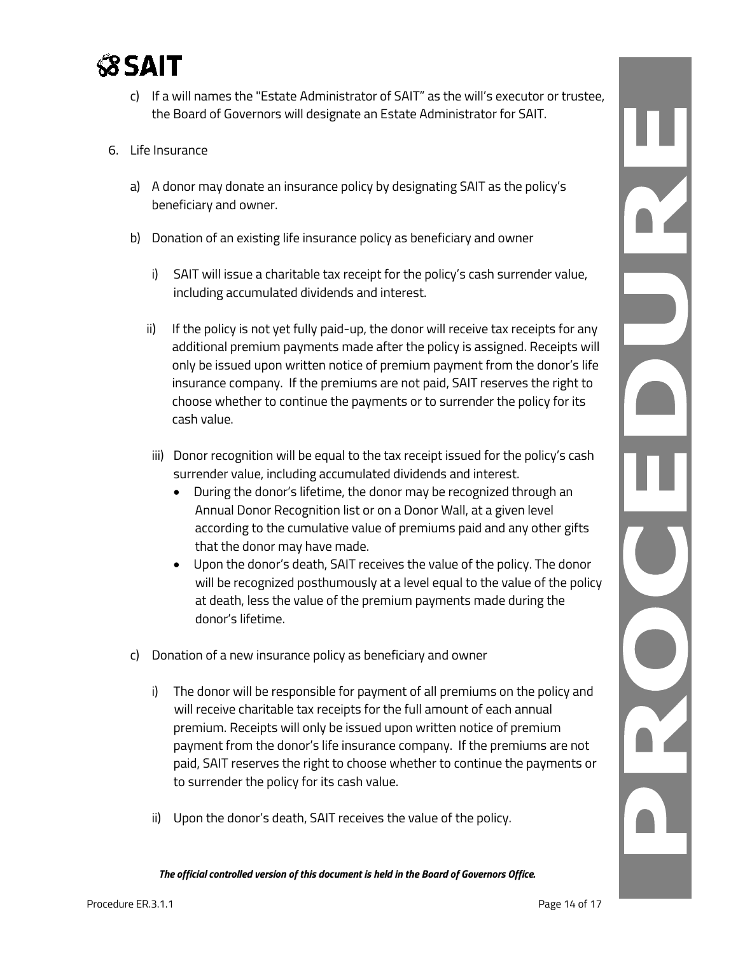

- c) If a will names the "Estate Administrator of SAIT" as the will's executor or trustee, the Board of Governors will designate an Estate Administrator for SAIT.
- 6. Life Insurance
	- a) A donor may donate an insurance policy by designating SAIT as the policy's beneficiary and owner.
	- b) Donation of an existing life insurance policy as beneficiary and owner
		- i) SAIT will issue a charitable tax receipt for the policy's cash surrender value, including accumulated dividends and interest.
		- ii) If the policy is not yet fully paid-up, the donor will receive tax receipts for any additional premium payments made after the policy is assigned. Receipts will only be issued upon written notice of premium payment from the donor's life insurance company. If the premiums are not paid, SAIT reserves the right to choose whether to continue the payments or to surrender the policy for its cash value.
		- iii) Donor recognition will be equal to the tax receipt issued for the policy's cash surrender value, including accumulated dividends and interest.
			- During the donor's lifetime, the donor may be recognized through an Annual Donor Recognition list or on a Donor Wall, at a given level according to the cumulative value of premiums paid and any other gifts that the donor may have made.
			- Upon the donor's death, SAIT receives the value of the policy. The donor will be recognized posthumously at a level equal to the value of the policy at death, less the value of the premium payments made during the donor's lifetime.
	- c) Donation of a new insurance policy as beneficiary and owner
		- i) The donor will be responsible for payment of all premiums on the policy and will receive charitable tax receipts for the full amount of each annual premium. Receipts will only be issued upon written notice of premium payment from the donor's life insurance company. If the premiums are not paid, SAIT reserves the right to choose whether to continue the payments or to surrender the policy for its cash value.
		- ii) Upon the donor's death, SAIT receives the value of the policy.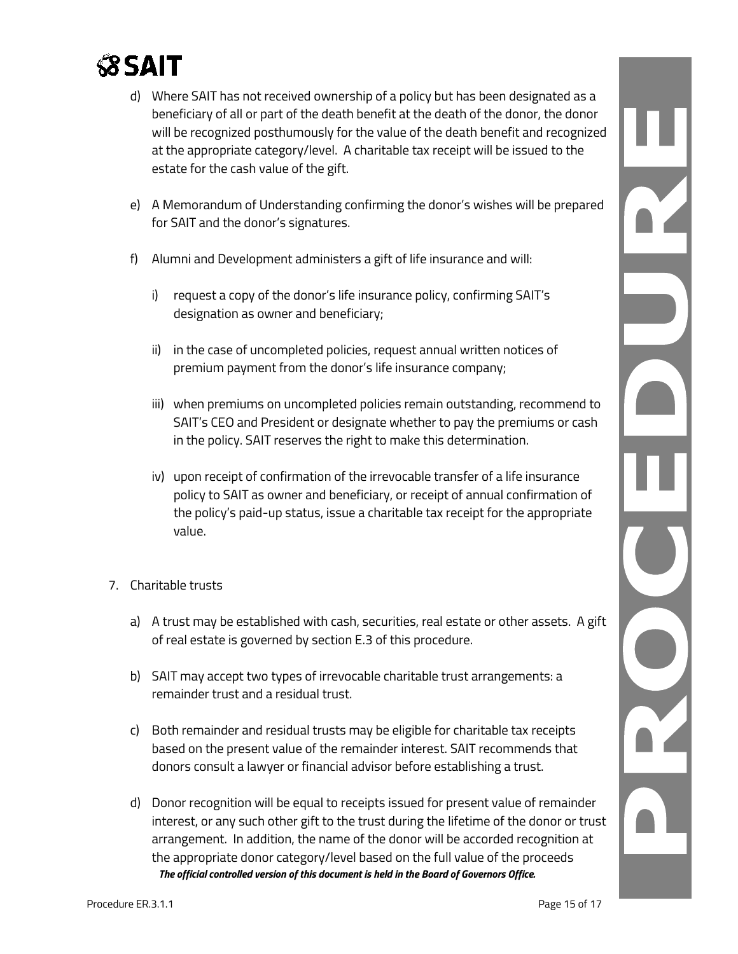

- d) Where SAIT has not received ownership of a policy but has been designated as a beneficiary of all or part of the death benefit at the death of the donor, the donor will be recognized posthumously for the value of the death benefit and recognized at the appropriate category/level. A charitable tax receipt will be issued to the estate for the cash value of the gift.
- e) A Memorandum of Understanding confirming the donor's wishes will be prepared for SAIT and the donor's signatures.
- f) Alumni and Development administers a gift of life insurance and will:
	- i) request a copy of the donor's life insurance policy, confirming SAIT's designation as owner and beneficiary;
	- ii) in the case of uncompleted policies, request annual written notices of premium payment from the donor's life insurance company;
	- iii) when premiums on uncompleted policies remain outstanding, recommend to SAIT's CEO and President or designate whether to pay the premiums or cash in the policy. SAIT reserves the right to make this determination.
	- iv) upon receipt of confirmation of the irrevocable transfer of a life insurance policy to SAIT as owner and beneficiary, or receipt of annual confirmation of the policy's paid-up status, issue a charitable tax receipt for the appropriate value.
- 7. Charitable trusts
	- a) A trust may be established with cash, securities, real estate or other assets. A gift of real estate is governed by section E.3 of this procedure.
	- b) SAIT may accept two types of irrevocable charitable trust arrangements: a remainder trust and a residual trust.
	- c) Both remainder and residual trusts may be eligible for charitable tax receipts based on the present value of the remainder interest. SAIT recommends that donors consult a lawyer or financial advisor before establishing a trust.
	- *The official controlled version of this document is held in the Board of Governors Office.* d) Donor recognition will be equal to receipts issued for present value of remainder interest, or any such other gift to the trust during the lifetime of the donor or trust arrangement. In addition, the name of the donor will be accorded recognition at the appropriate donor category/level based on the full value of the proceeds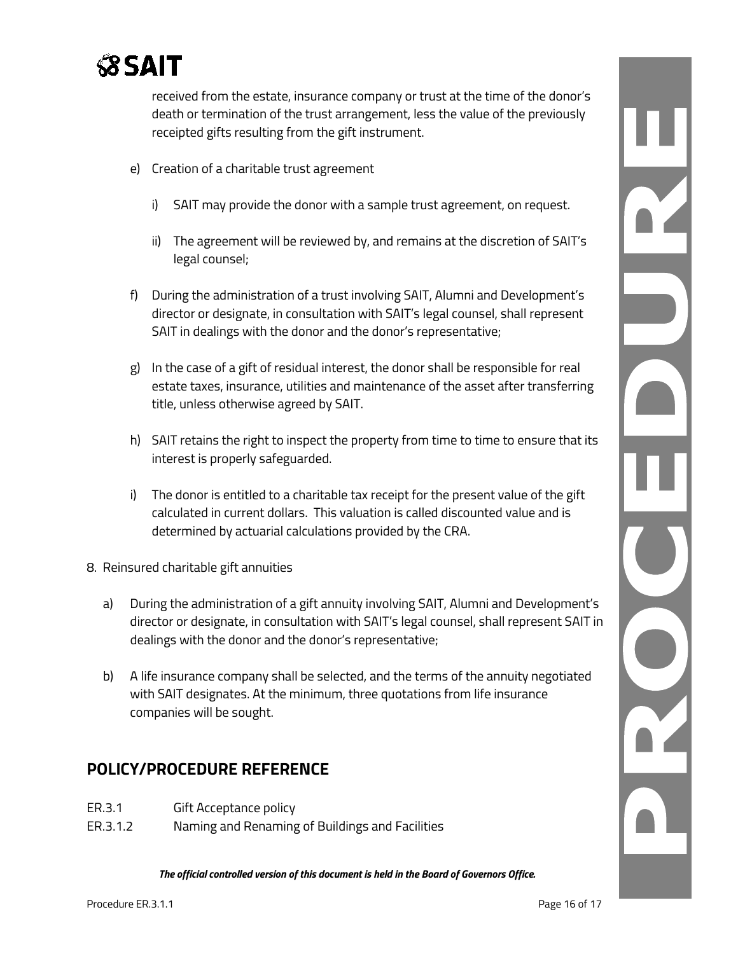

received from the estate, insurance company or trust at the time of the donor's death or termination of the trust arrangement, less the value of the previously receipted gifts resulting from the gift instrument.

- e) Creation of a charitable trust agreement
	- i) SAIT may provide the donor with a sample trust agreement, on request.
	- ii) The agreement will be reviewed by, and remains at the discretion of SAIT's legal counsel;
- f) During the administration of a trust involving SAIT, Alumni and Development's director or designate, in consultation with SAIT's legal counsel, shall represent SAIT in dealings with the donor and the donor's representative;
- g) In the case of a gift of residual interest, the donor shall be responsible for real estate taxes, insurance, utilities and maintenance of the asset after transferring title, unless otherwise agreed by SAIT.
- h) SAIT retains the right to inspect the property from time to time to ensure that its interest is properly safeguarded.
- i) The donor is entitled to a charitable tax receipt for the present value of the gift calculated in current dollars. This valuation is called discounted value and is determined by actuarial calculations provided by the CRA.
- 8. Reinsured charitable gift annuities
	- a) During the administration of a gift annuity involving SAIT, Alumni and Development's director or designate, in consultation with SAIT's legal counsel, shall represent SAIT in dealings with the donor and the donor's representative;
	- b) A life insurance company shall be selected, and the terms of the annuity negotiated with SAIT designates. At the minimum, three quotations from life insurance companies will be sought.

## **POLICY/PROCEDURE REFERENCE**

- ER.3.1 Gift Acceptance policy
- ER.3.1.2 Naming and Renaming of Buildings and Facilities